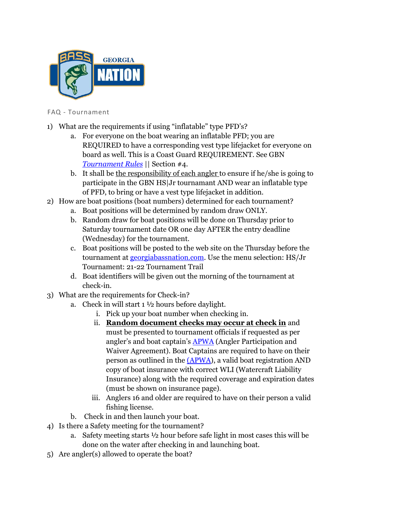

FAQ - Tournament

- 1) What are the requirements if using "inflatable" type PFD's?
	- a. For everyone on the boat wearing an inflatable PFD; you are REQUIRED to have a corresponding vest type lifejacket for everyone on board as well. This is a Coast Guard REQUIREMENT. See GBN *Tournament Rules* || Section #4.
	- b. It shall be the responsibility of each angler to ensure if he/she is going to participate in the GBN HS|Jr tournamant AND wear an inflatable type of PFD, to bring or have a vest type lifejacket in addition.
- 2) How are boat positions (boat numbers) determined for each tournament?
	- a. Boat positions will be determined by random draw ONLY.
	- b. Random draw for boat positions will be done on Thursday prior to Saturday tournament date OR one day AFTER the entry deadline (Wednesday) for the tournament.
	- c. Boat positions will be posted to the web site on the Thursday before the tournament at georgiabassnation.com. Use the menu selection: HS/Jr Tournament: 21-22 Tournament Trail
	- d. Boat identifiers will be given out the morning of the tournament at check-in.
- 3) What are the requirements for Check-in?
	- a. Check in will start  $1\frac{1}{2}$  hours before daylight.
		- i. Pick up your boat number when checking in.
		- ii. **Random document checks may occur at check in** and must be presented to tournament officials if requested as per angler's and boat captain's **APWA** (Angler Participation and Waiver Agreement). Boat Captains are required to have on their person as outlined in the (APWA), a valid boat registration AND copy of boat insurance with correct WLI (Watercraft Liability Insurance) along with the required coverage and expiration dates (must be shown on insurance page).
		- iii. Anglers 16 and older are required to have on their person a valid fishing license.
	- b. Check in and then launch your boat.
- 4) Is there a Safety meeting for the tournament?
	- a. Safety meeting starts ½ hour before safe light in most cases this will be done on the water after checking in and launching boat.
- 5) Are angler(s) allowed to operate the boat?